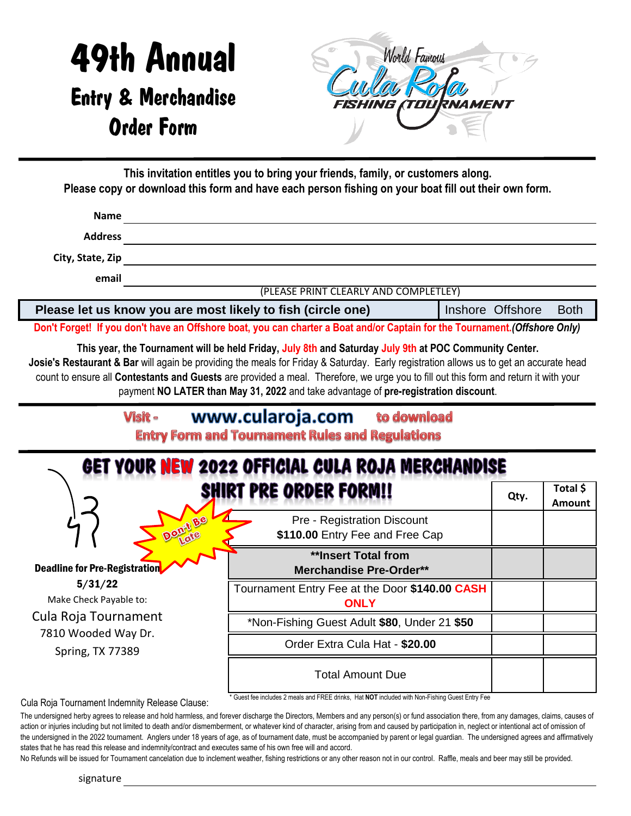## 49th Annual Entry & Merchandise Order Form



**This invitation entitles you to bring your friends, family, or customers along. Please copy or download this form and have each person fishing on your boat fill out their own form.** 

| <b>Name</b>      |                                       |
|------------------|---------------------------------------|
| <b>Address</b>   |                                       |
| City, State, Zip |                                       |
| email            |                                       |
|                  | (PLEASE PRINT CLEARLY AND COMPLETLEY) |

| Please let us know you are most likely to fish (circle one) | Inshore Offshore Both |  |
|-------------------------------------------------------------|-----------------------|--|
|                                                             |                       |  |

**Don't Forget! If you don't have an Offshore boat, you can charter a Boat and/or Captain for the Tournament.***(Offshore Only)*

**This year, the Tournament will be held Friday, July 8th and Saturday July 9th at POC Community Center. Josie's Restaurant & Bar** will again be providing the meals for Friday & Saturday. Early registration allows us to get an accurate head count to ensure all **Contestants and Guests** are provided a meal. Therefore, we urge you to fill out this form and return it with your payment **NO LATER than May 31, 2022** and take advantage of **pre-registration discount**.

| www.cularoja.com<br>to download<br>Visit -<br><b>Entry Form and Tournament Rules and Regulations</b> |                                                                            |      |                           |  |
|------------------------------------------------------------------------------------------------------|----------------------------------------------------------------------------|------|---------------------------|--|
|                                                                                                      | GET YOUR NEW 2022 OFFICIAL CULA ROJA MERCHANDISE<br>SHIRT PRE ORDER FORM!! | Qty. | Total \$<br><b>Amount</b> |  |
|                                                                                                      | <b>Pre - Registration Discount</b><br>\$110.00 Entry Fee and Free Cap      |      |                           |  |
| <b>Deadline for Pre-Registration</b>                                                                 | **Insert Total from<br><b>Merchandise Pre-Order**</b>                      |      |                           |  |
| 5/31/22<br>Make Check Payable to:                                                                    | Tournament Entry Fee at the Door \$140.00 CASH<br><b>ONLY</b>              |      |                           |  |
| Cula Roja Tournament                                                                                 | *Non-Fishing Guest Adult \$80, Under 21 \$50                               |      |                           |  |
| 7810 Wooded Way Dr.<br>Spring, TX 77389                                                              | Order Extra Cula Hat - \$20.00                                             |      |                           |  |
|                                                                                                      | <b>Total Amount Due</b>                                                    |      |                           |  |

Cula Roja Tournament Indemnity Release Clause:

\* Guest fee includes 2 meals and FREE drinks, Hat **NOT** included with Non-Fishing Guest Entry Fee

The undersigned herby agrees to release and hold harmless, and forever discharge the Directors, Members and any person(s) or fund association there, from any damages, claims, causes of action or injuries including but not limited to death and/or dismemberment, or whatever kind of character, arising from and caused by participation in, neglect or intentional act of omission of the undersigned in the 2022 tournament. Anglers under 18 years of age, as of tournament date, must be accompanied by parent or legal guardian. The undersigned agrees and affirmatively states that he has read this release and indemnity/contract and executes same of his own free will and accord.

No Refunds will be issued for Tournament cancelation due to inclement weather, fishing restrictions or any other reason not in our control. Raffle, meals and beer may still be provided.